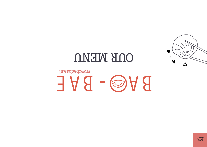# In.eadobadwww BAGS-BAE